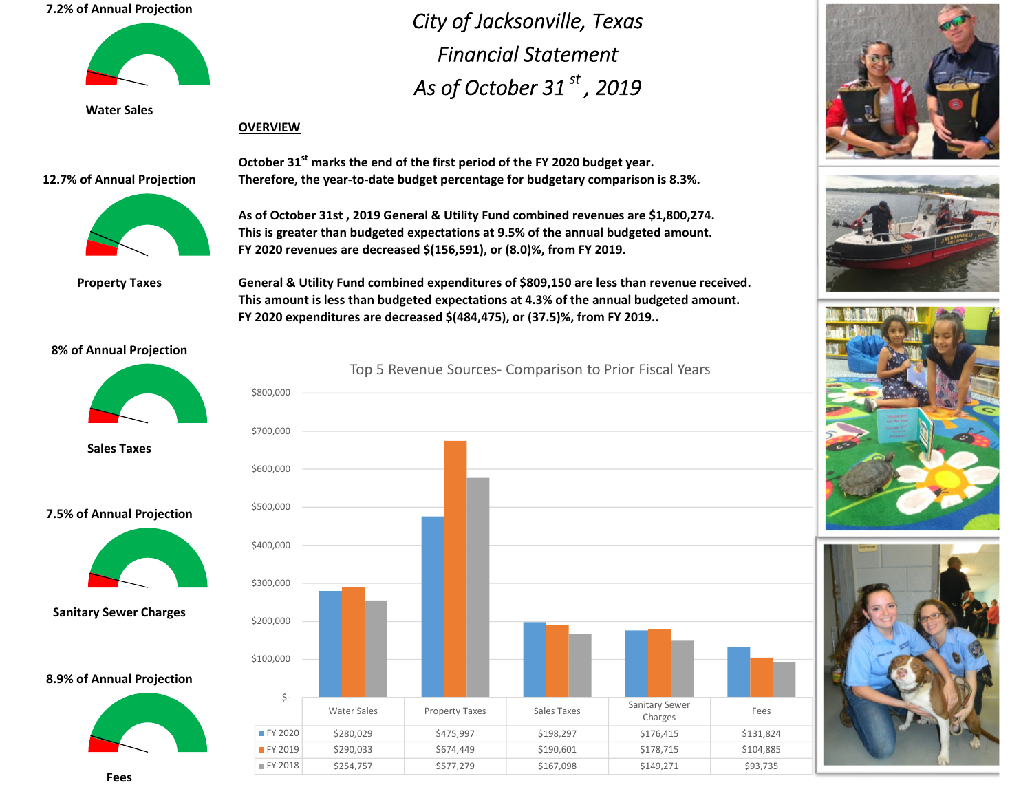# **7.2% of Annual Projection**



**Water Sales**

# **OVERVIEW**

### **12.7% of Annual Projection**



**Property Taxes**

**October 31st marks the end of the first period of the FY 2020 budget year. Therefore, the year‐to‐date budget percentage for budgetary comparison is 8.3%.**

*City of Jacksonville, Texas*

*Financial Statement*

*As of October 31 st , <sup>2019</sup>*

**As of October 31st , 2019 General & Utility Fund combined revenues are \$1,800,274. This is greater than budgeted expectations at 9.5% of the annual budgeted amount. FY 2020 revenues are decreased \$(156,591), or (8.0)%, from FY 2019.**

**General & Utility Fund combined expenditures of \$809,150 are less than revenue received. This amount is less than budgeted expectations at 4.3% of the annual budgeted amount. FY 2020 expenditures are decreased \$(484,475), or (37.5)%, from FY 2019..**

## **8% of Annual Projection**



**Sales Taxes**





**Sanitary Sewer Charges**

#### **8.9% of Annual Projection**













**Fees**